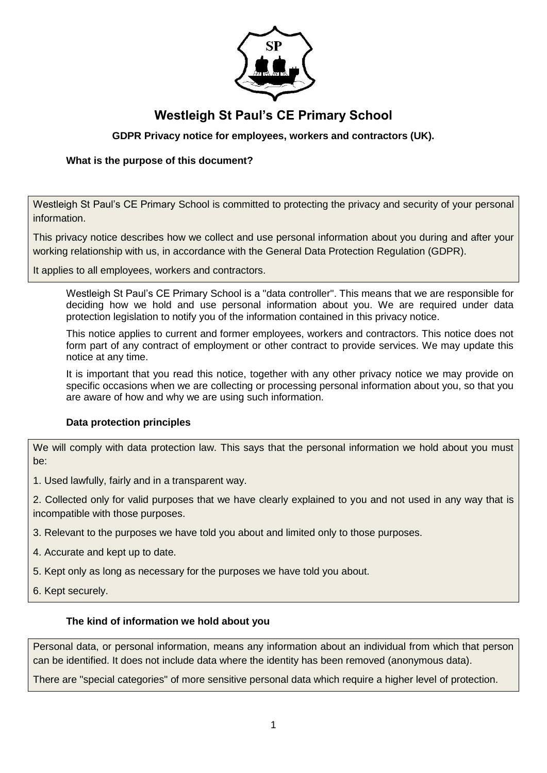

# **Westleigh St Paul's CE Primary School**

# **GDPR Privacy notice for employees, workers and contractors (UK).**

# **What is the purpose of this document?**

Westleigh St Paul's CE Primary School is committed to protecting the privacy and security of your personal information.

This privacy notice describes how we collect and use personal information about you during and after your working relationship with us, in accordance with the General Data Protection Regulation (GDPR).

It applies to all employees, workers and contractors.

Westleigh St Paul's CE Primary School is a "data controller". This means that we are responsible for deciding how we hold and use personal information about you. We are required under data protection legislation to notify you of the information contained in this privacy notice.

This notice applies to current and former employees, workers and contractors. This notice does not form part of any contract of employment or other contract to provide services. We may update this notice at any time.

It is important that you read this notice, together with any other privacy notice we may provide on specific occasions when we are collecting or processing personal information about you, so that you are aware of how and why we are using such information.

## **Data protection principles**

We will comply with data protection law. This says that the personal information we hold about you must be:

1. Used lawfully, fairly and in a transparent way.

2. Collected only for valid purposes that we have clearly explained to you and not used in any way that is incompatible with those purposes.

- 3. Relevant to the purposes we have told you about and limited only to those purposes.
- 4. Accurate and kept up to date.
- 5. Kept only as long as necessary for the purposes we have told you about.
- <span id="page-0-0"></span>6. Kept securely.

## **The kind of information we hold about you**

Personal data, or personal information, means any information about an individual from which that person can be identified. It does not include data where the identity has been removed (anonymous data).

There are "special categories" of more sensitive personal data which require a higher level of protection.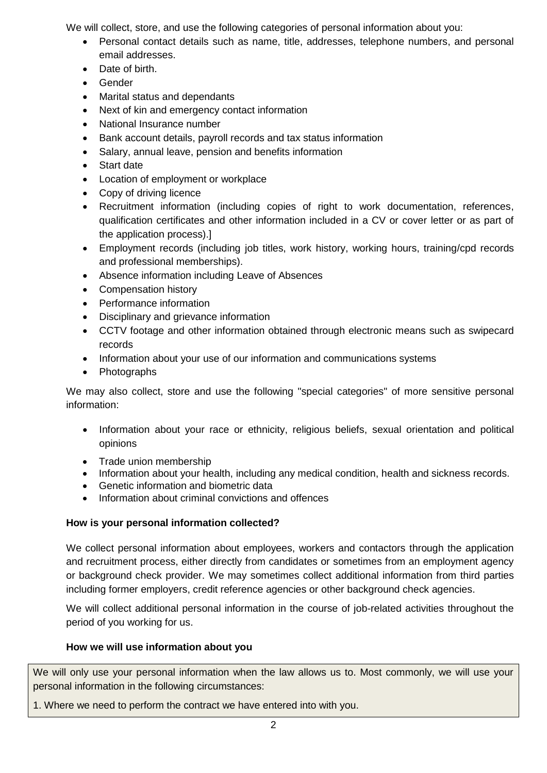We will collect, store, and use the following categories of personal information about you:

- Personal contact details such as name, title, addresses, telephone numbers, and personal email addresses.
- **•** Date of birth
- Gender
- Marital status and dependants
- Next of kin and emergency contact information
- National Insurance number
- Bank account details, payroll records and tax status information
- Salary, annual leave, pension and benefits information
- Start date
- Location of employment or workplace
- Copy of driving licence
- Recruitment information (including copies of right to work documentation, references, qualification certificates and other information included in a CV or cover letter or as part of the application process).]
- Employment records (including job titles, work history, working hours, training/cpd records and professional memberships).
- Absence information including Leave of Absences
- Compensation history
- Performance information
- Disciplinary and grievance information
- CCTV footage and other information obtained through electronic means such as swipecard records
- Information about your use of our information and communications systems
- Photographs

We may also collect, store and use the following "special categories" of more sensitive personal information:

- Information about your race or ethnicity, religious beliefs, sexual orientation and political opinions
- Trade union membership
- Information about your health, including any medical condition, health and sickness records.
- Genetic information and biometric data
- Information about criminal convictions and offences

# **How is your personal information collected?**

We collect personal information about employees, workers and contactors through the application and recruitment process, either directly from candidates or sometimes from an employment agency or background check provider. We may sometimes collect additional information from third parties including former employers, credit reference agencies or other background check agencies.

We will collect additional personal information in the course of job-related activities throughout the period of you working for us.

# **How we will use information about you**

We will only use your personal information when the law allows us to. Most commonly, we will use your personal information in the following circumstances:

1. Where we need to perform the contract we have entered into with you.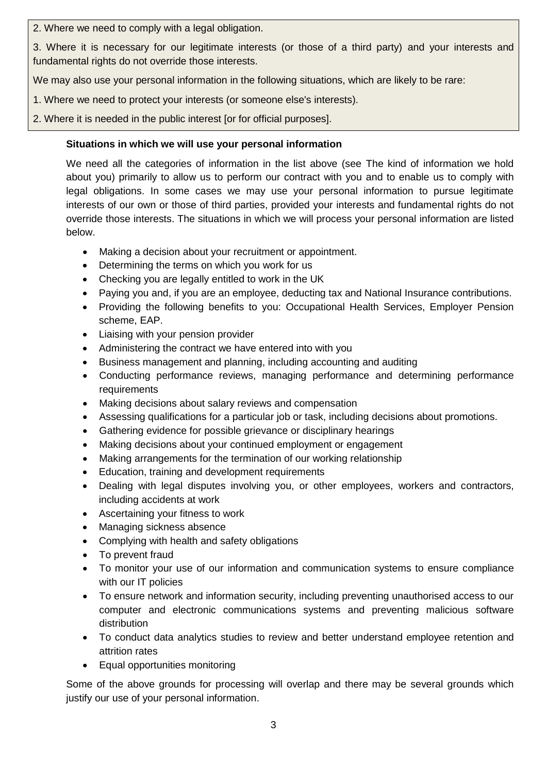2. Where we need to comply with a legal obligation.

3. Where it is necessary for our legitimate interests (or those of a third party) and your interests and fundamental rights do not override those interests.

We may also use your personal information in the following situations, which are likely to be rare:

- 1. Where we need to protect your interests (or someone else's interests).
- 2. Where it is needed in the public interest [or for official purposes].

# **Situations in which we will use your personal information**

We need all the categories of information in the list above (see [The kind of information we hold](#page-0-0)  [about you\)](#page-0-0) primarily to allow us to perform our contract with you and to enable us to comply with legal obligations. In some cases we may use your personal information to pursue legitimate interests of our own or those of third parties, provided your interests and fundamental rights do not override those interests. The situations in which we will process your personal information are listed below.

- Making a decision about your recruitment or appointment.
- Determining the terms on which you work for us
- Checking you are legally entitled to work in the UK
- Paying you and, if you are an employee, deducting tax and National Insurance contributions.
- Providing the following benefits to you: Occupational Health Services, Employer Pension scheme, EAP.
- Liaising with your pension provider
- Administering the contract we have entered into with you
- Business management and planning, including accounting and auditing
- Conducting performance reviews, managing performance and determining performance requirements
- Making decisions about salary reviews and compensation
- Assessing qualifications for a particular job or task, including decisions about promotions.
- Gathering evidence for possible grievance or disciplinary hearings
- Making decisions about your continued employment or engagement
- Making arrangements for the termination of our working relationship
- Education, training and development requirements
- Dealing with legal disputes involving you, or other employees, workers and contractors, including accidents at work
- Ascertaining your fitness to work
- Managing sickness absence
- Complying with health and safety obligations
- To prevent fraud
- To monitor your use of our information and communication systems to ensure compliance with our IT policies
- To ensure network and information security, including preventing unauthorised access to our computer and electronic communications systems and preventing malicious software distribution
- To conduct data analytics studies to review and better understand employee retention and attrition rates
- Equal opportunities monitoring

Some of the above grounds for processing will overlap and there may be several grounds which justify our use of your personal information.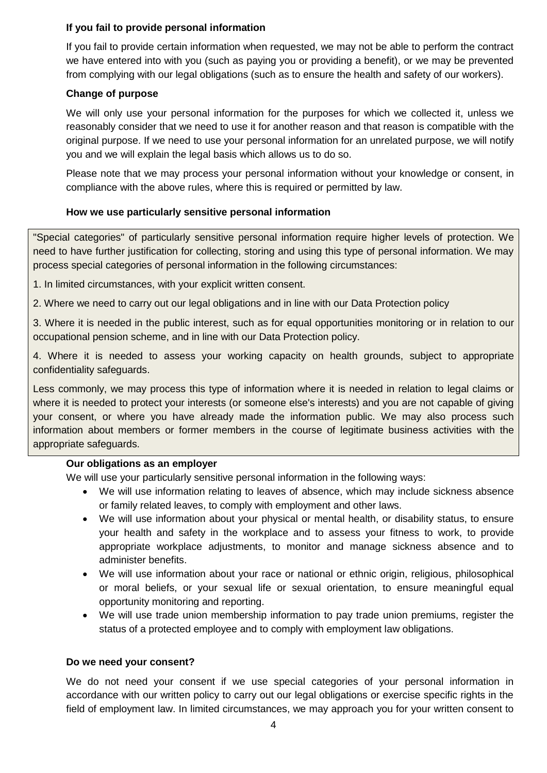# **If you fail to provide personal information**

If you fail to provide certain information when requested, we may not be able to perform the contract we have entered into with you (such as paying you or providing a benefit), or we may be prevented from complying with our legal obligations (such as to ensure the health and safety of our workers).

# **Change of purpose**

We will only use your personal information for the purposes for which we collected it, unless we reasonably consider that we need to use it for another reason and that reason is compatible with the original purpose. If we need to use your personal information for an unrelated purpose, we will notify you and we will explain the legal basis which allows us to do so.

Please note that we may process your personal information without your knowledge or consent, in compliance with the above rules, where this is required or permitted by law.

# **How we use particularly sensitive personal information**

"Special categories" of particularly sensitive personal information require higher levels of protection. We need to have further justification for collecting, storing and using this type of personal information. We may process special categories of personal information in the following circumstances:

- 1. In limited circumstances, with your explicit written consent.
- 2. Where we need to carry out our legal obligations and in line with our Data Protection policy

3. Where it is needed in the public interest, such as for equal opportunities monitoring or in relation to our occupational pension scheme, and in line with our Data Protection policy.

4. Where it is needed to assess your working capacity on health grounds, subject to appropriate confidentiality safeguards.

Less commonly, we may process this type of information where it is needed in relation to legal claims or where it is needed to protect your interests (or someone else's interests) and you are not capable of giving your consent, or where you have already made the information public. We may also process such information about members or former members in the course of legitimate business activities with the appropriate safeguards.

# **Our obligations as an employer**

We will use your particularly sensitive personal information in the following ways:

- We will use information relating to leaves of absence, which may include sickness absence or family related leaves, to comply with employment and other laws.
- We will use information about your physical or mental health, or disability status, to ensure your health and safety in the workplace and to assess your fitness to work, to provide appropriate workplace adjustments, to monitor and manage sickness absence and to administer benefits.
- We will use information about your race or national or ethnic origin, religious, philosophical or moral beliefs, or your sexual life or sexual orientation, to ensure meaningful equal opportunity monitoring and reporting.
- We will use trade union membership information to pay trade union premiums, register the status of a protected employee and to comply with employment law obligations.

# **Do we need your consent?**

We do not need your consent if we use special categories of your personal information in accordance with our written policy to carry out our legal obligations or exercise specific rights in the field of employment law. In limited circumstances, we may approach you for your written consent to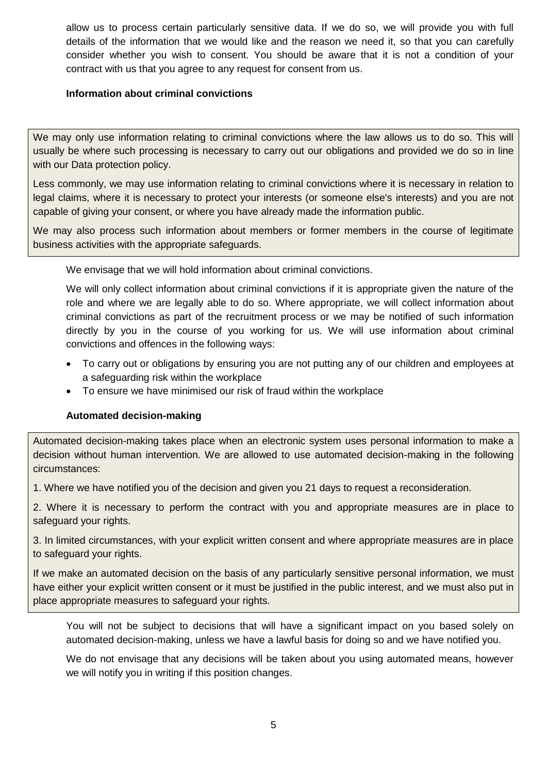allow us to process certain particularly sensitive data. If we do so, we will provide you with full details of the information that we would like and the reason we need it, so that you can carefully consider whether you wish to consent. You should be aware that it is not a condition of your contract with us that you agree to any request for consent from us.

# **Information about criminal convictions**

We may only use information relating to criminal convictions where the law allows us to do so. This will usually be where such processing is necessary to carry out our obligations and provided we do so in line with our Data protection policy.

Less commonly, we may use information relating to criminal convictions where it is necessary in relation to legal claims, where it is necessary to protect your interests (or someone else's interests) and you are not capable of giving your consent, or where you have already made the information public.

We may also process such information about members or former members in the course of legitimate business activities with the appropriate safeguards.

We envisage that we will hold information about criminal convictions.

We will only collect information about criminal convictions if it is appropriate given the nature of the role and where we are legally able to do so. Where appropriate, we will collect information about criminal convictions as part of the recruitment process or we may be notified of such information directly by you in the course of you working for us. We will use information about criminal convictions and offences in the following ways:

- To carry out or obligations by ensuring you are not putting any of our children and employees at a safeguarding risk within the workplace
- To ensure we have minimised our risk of fraud within the workplace

## **Automated decision-making**

Automated decision-making takes place when an electronic system uses personal information to make a decision without human intervention. We are allowed to use automated decision-making in the following circumstances:

1. Where we have notified you of the decision and given you 21 days to request a reconsideration.

2. Where it is necessary to perform the contract with you and appropriate measures are in place to safeguard your rights.

3. In limited circumstances, with your explicit written consent and where appropriate measures are in place to safeguard your rights.

If we make an automated decision on the basis of any particularly sensitive personal information, we must have either your explicit written consent or it must be justified in the public interest, and we must also put in place appropriate measures to safeguard your rights.

You will not be subject to decisions that will have a significant impact on you based solely on automated decision-making, unless we have a lawful basis for doing so and we have notified you.

We do not envisage that any decisions will be taken about you using automated means, however we will notify you in writing if this position changes.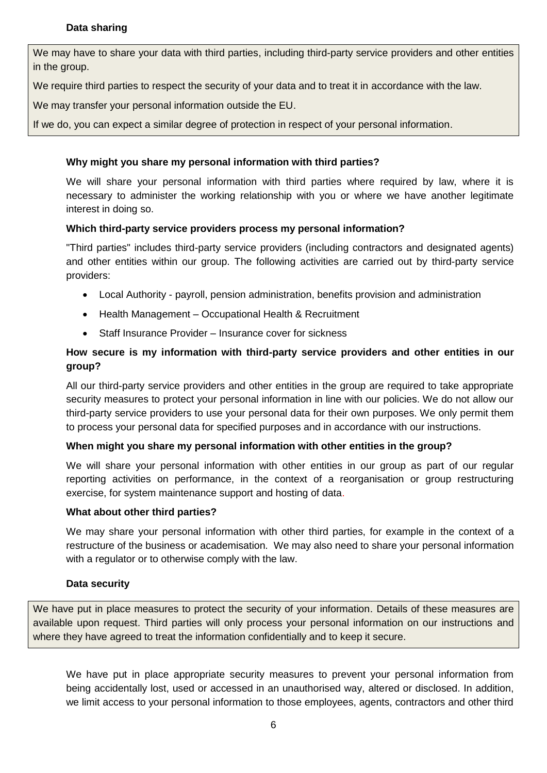# **Data sharing**

We may have to share your data with third parties, including third-party service providers and other entities in the group.

We require third parties to respect the security of your data and to treat it in accordance with the law.

We may transfer your personal information outside the EU.

If we do, you can expect a similar degree of protection in respect of your personal information.

# **Why might you share my personal information with third parties?**

We will share your personal information with third parties where required by law, where it is necessary to administer the working relationship with you or where we have another legitimate interest in doing so.

# **Which third-party service providers process my personal information?**

"Third parties" includes third-party service providers (including contractors and designated agents) and other entities within our group. The following activities are carried out by third-party service providers:

- Local Authority payroll, pension administration, benefits provision and administration
- Health Management Occupational Health & Recruitment
- Staff Insurance Provider Insurance cover for sickness

# **How secure is my information with third-party service providers and other entities in our group?**

All our third-party service providers and other entities in the group are required to take appropriate security measures to protect your personal information in line with our policies. We do not allow our third-party service providers to use your personal data for their own purposes. We only permit them to process your personal data for specified purposes and in accordance with our instructions.

## **When might you share my personal information with other entities in the group?**

We will share your personal information with other entities in our group as part of our regular reporting activities on performance, in the context of a reorganisation or group restructuring exercise, for system maintenance support and hosting of data.

## **What about other third parties?**

We may share your personal information with other third parties, for example in the context of a restructure of the business or academisation. We may also need to share your personal information with a regulator or to otherwise comply with the law.

## **Data security**

We have put in place measures to protect the security of your information. Details of these measures are available upon request. Third parties will only process your personal information on our instructions and where they have agreed to treat the information confidentially and to keep it secure.

We have put in place appropriate security measures to prevent your personal information from being accidentally lost, used or accessed in an unauthorised way, altered or disclosed. In addition, we limit access to your personal information to those employees, agents, contractors and other third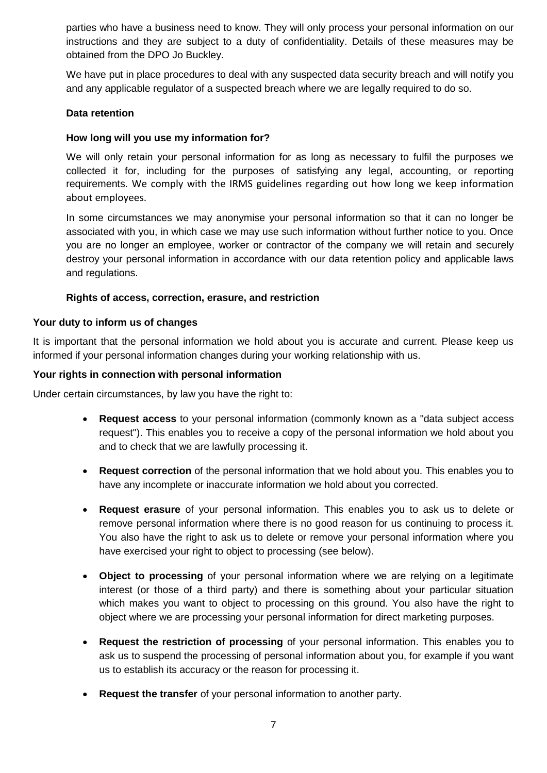parties who have a business need to know. They will only process your personal information on our instructions and they are subject to a duty of confidentiality. Details of these measures may be obtained from the DPO Jo Buckley.

We have put in place procedures to deal with any suspected data security breach and will notify you and any applicable regulator of a suspected breach where we are legally required to do so.

## **Data retention**

## **How long will you use my information for?**

We will only retain your personal information for as long as necessary to fulfil the purposes we collected it for, including for the purposes of satisfying any legal, accounting, or reporting requirements. We comply with the IRMS guidelines regarding out how long we keep information about employees.

In some circumstances we may anonymise your personal information so that it can no longer be associated with you, in which case we may use such information without further notice to you. Once you are no longer an employee, worker or contractor of the company we will retain and securely destroy your personal information in accordance with our data retention policy and applicable laws and regulations.

# **Rights of access, correction, erasure, and restriction**

## **Your duty to inform us of changes**

It is important that the personal information we hold about you is accurate and current. Please keep us informed if your personal information changes during your working relationship with us.

#### **Your rights in connection with personal information**

Under certain circumstances, by law you have the right to:

- **Request access** to your personal information (commonly known as a "data subject access request"). This enables you to receive a copy of the personal information we hold about you and to check that we are lawfully processing it.
- **Request correction** of the personal information that we hold about you. This enables you to have any incomplete or inaccurate information we hold about you corrected.
- **Request erasure** of your personal information. This enables you to ask us to delete or remove personal information where there is no good reason for us continuing to process it. You also have the right to ask us to delete or remove your personal information where you have exercised your right to object to processing (see below).
- **Object to processing** of your personal information where we are relying on a legitimate interest (or those of a third party) and there is something about your particular situation which makes you want to object to processing on this ground. You also have the right to object where we are processing your personal information for direct marketing purposes.
- **Request the restriction of processing** of your personal information. This enables you to ask us to suspend the processing of personal information about you, for example if you want us to establish its accuracy or the reason for processing it.
- **Request the transfer** of your personal information to another party.